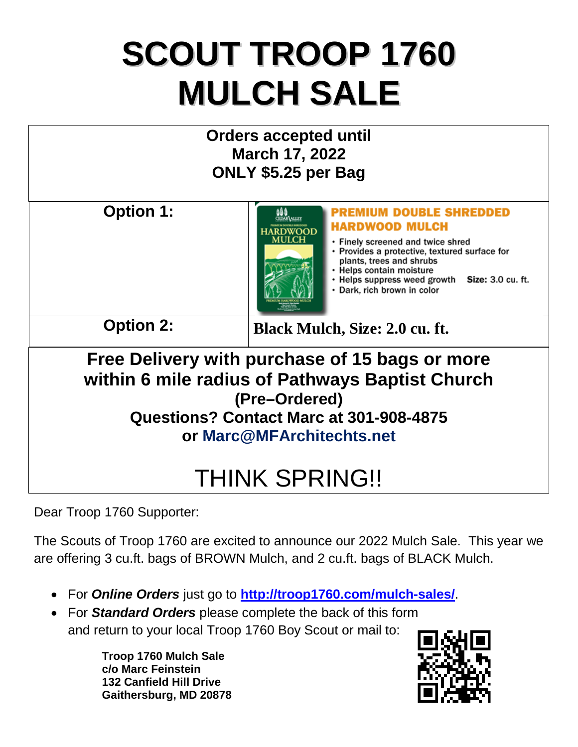## **SCOUT TROOP 1760 MULCH SALE**



Dear Troop 1760 Supporter:

The Scouts of Troop 1760 are excited to announce our 2022 Mulch Sale. This year we are offering 3 cu.ft. bags of BROWN Mulch, and 2 cu.ft. bags of BLACK Mulch.

- For *Online Orders* just go to **<http://troop1760.com/mulch-sales/>**.
- For *Standard Orders* please complete the back of this form and return to your local Troop 1760 Boy Scout or mail to:

**Troop 1760 Mulch Sale c/o Marc Feinstein 132 Canfield Hill Drive Gaithersburg, MD 20878**